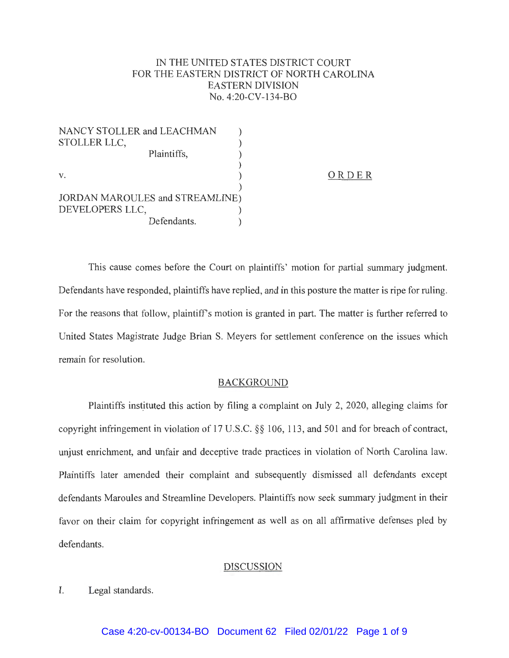# IN THE UNITED STATES DISTRICT COURT FOR THE EASTERN DISTRICT OF NORTH CAROLINA EASTERN DIVISION No. 4:20-CV-134-BO

| NANCY STOLLER and LEACHMAN             |       |
|----------------------------------------|-------|
| STOLLER LLC,                           |       |
| Plaintiffs,                            |       |
|                                        |       |
| V.                                     | ORDER |
|                                        |       |
| <b>JORDAN MAROULES and STREAMLINE)</b> |       |
| DEVELOPERS LLC,                        |       |
| Defendants.                            |       |

This cause comes before the Court on plaintiffs' motion for partial summary judgment. Defendants have responded, plaintiffs have replied, and in this posture the matter is ripe for ruling. For the reasons that follow, plaintiff's motion is granted in part. The matter is further referred to United States Magistrate Judge Brian S. Meyers for settlement conference on the issues which remain for resolution.

#### BACKGROUND

Plaintiffs instituted this action by filing a complaint on July 2, 2020, alleging claims for copyright infringement in violation of 17 U.S.C. §§ 106, 113, and 501 and for breach of contract, unjust enrichment, and unfair and deceptive trade practices in violation of North Carolina law. Plaintiffs later amended their complaint and subsequently dismissed all defendants except defendants Maroules and Streamline Developers. Plaintiffs now seek summary judgment in their favor on their claim for copyright infringement as well as on all affirmative defenses pied by defendants.

### DISCUSSION

I. Legal standards.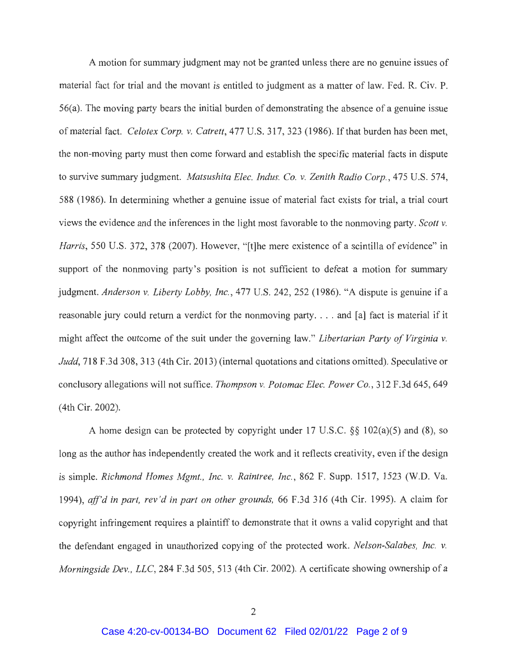A motion for summary judgment may not be granted unless there are no genuine issues of material fact for trial and the movant is entitled to judgment as a matter of law. Fed. R. Civ. P. 56(a). The moving party bears the initial burden of demonstrating the absence of a genuine issue of material fact. *Celotex Corp. v. Catrett,* 477 U.S. 317,323 (1986). If that burden has been met, the non-moving party must then come forward and establish the specific material facts in dispute to survive summary judgment. *Matsushita Elec. Indus. Co. v. Zenith Radio Corp.,* 475 U.S. 574, 588 (1986). In determining whether a genuine issue of material fact exists for trial, a trial court views the evidence and the inferences in the light most favorable to the nonmoving party. *Scott v. Harris,* 550 U.S. 372, 378 (2007). However, "[t]he mere existence of a scintilla of evidence" in support of the nonmoving party's position is not sufficient to defeat a motion for summary judgment. *Anderson v. Liberty Lobby, Inc.*, 477 U.S. 242, 252 (1986). "A dispute is genuine if a reasonable jury could return a verdict for the nonmoving party.... and [a] fact is material if it might affect the outcome of the suit under the governing law." *Libertarian Party of Virginia v. Judd,* 718 F.3d 308, 313 (4th Cir. 2013) (internal quotations and citations omitted). Speculative or conclusory allegations will not suffice. *Thompson v. Potomac Elec. Power Co.,* 312 F.3d 645, 649 ( 4th Cir. 2002).

A home design can be protected by copyright under 17 U.S.C. §§ 102(a)(5) and (8), so long as the author has independently created the work and it reflects creativity, even if the design is simple. *Richmond Homes Mgmt., Inc. v. Raintree, Inc.,* 862 F. Supp. 1517, 1523 (W.D. Va. 1994), *aff'd in part, rev 'din part on other grounds,* 66 F.3d 316 (4th Cir. 1995). A claim for copyright infringement requires a plaintiff to demonstrate that it owns a valid copyright and that the defendant engaged in unauthorized copying of the protected work. *Nelson-Salabes, Inc. v. Morningside Dev., LLC, 284 F.3d 505, 513 (4th Cir. 2002). A certificate showing ownership of a*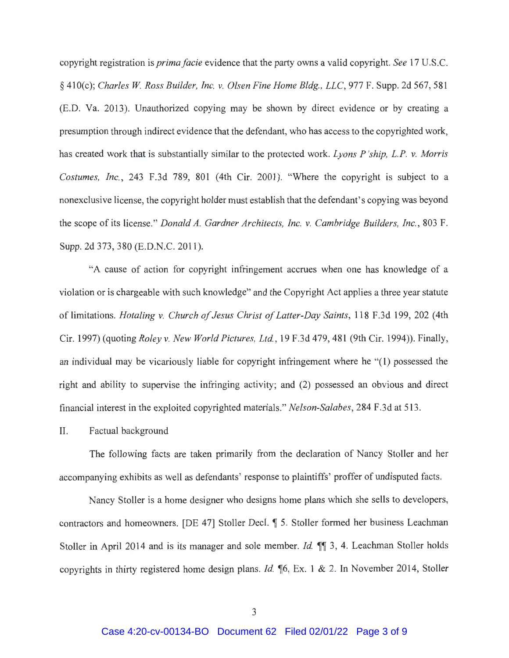copyright registration is *primafacie* evidence that the party owns a valid copyright. *See* 17 U.S.C. § 410(c); *Charles W Ross Builder, Inc. v. Olsen Fine Home Bldg., LLC,* 977 F. Supp. 2d 567, 581 (E.D. Va. 2013). Unauthorized copying may be shown by direct evidence or by creating a presumption through indirect evidence that the defendant, who has access to the copyrighted work, has created work that is substantially similar to the protected work. *Lyons P 'ship, L.P. v. Morris Costumes, Inc.,* 243 F.3d 789, 801 (4th Cir. 2001). "Where the copyright is subject to a nonexclusive license, the copyright holder must establish that the defendant's copying was beyond the scope of its license." *Donald A. Gardner Architects, Inc. v. Cambridge Builders, Inc.,* 803 F. Supp. 2d 373, 380 (E.D.N.C. 2011).

"A cause of action for copyright infringement accrues when one has knowledge of a violation or is chargeable with such knowledge" and the Copyright Act applies a three year statute of limitations. *Hotaling v. Church of Jesus Christ of Latter-Day Saints,* 118 F.3d 199, 202 (4th Cir. 1997) (quoting *Roley v. New World Pictures, Ltd. ,* 19 F.3d 479,481 (9th Cir. 1994)). Finally, an individual may be vicariously liable for copyright infringement where he "(1) possessed the right and ability to supervise the infringing activity; and (2) possessed an obvious and direct financial interest in the exploited copyrighted materials." *Nelson-Salabes,* 284 F.3d at 513 .

#### II. Factual background

The following facts are taken primarily from the declaration of Nancy Stoller and her accompanying exhibits as well as defendants' response to plaintiffs' proffer of undisputed facts.

Nancy Stoller is a home designer who designs home plans which she sells to developers, contractors and homeowners. [DE 47] Stoller Decl. **1** 5. Stoller formed her business Leachman Stoller in April 2014 and is its manager and sole member. *Id.* **1**. 2, 4. Leachman Stoller holds copyrights in thirty registered home design plans. *Id.* **16, Ex. 1 & 2.** In November 2014, Stoller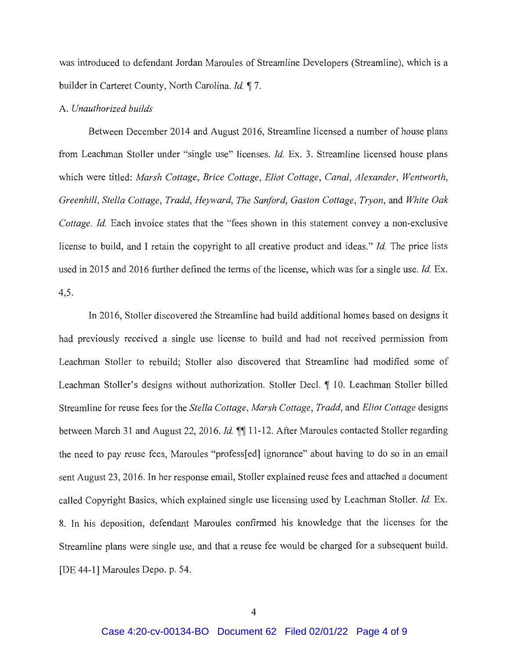was introduced to defendant Jordan Maroules of Streamline Developers (Streamline), which is a builder in Carteret County, North Carolina. *Id.* 17.

#### A. *Unauthorized builds*

Between December 2014 and August 2016, Streamline licensed a number of house plans from Leachman Stoller under "single use" licenses. *Id.* Ex. 3. Streamline licensed house plans which were titled: *Marsh Cottage, Brice Cottage , Eliot Cottage, Canal, Alexander, Wentworth, Greenhill, Stella Cottage, Tradd, Heyward, The Sanford, Gaston Cottage, Tryon,* and *White Oak Cottage. Id.* Each invoice states that the "fees shown in this statement convey a non-exclusive license to build, and I retain the copyright to all creative product and ideas." *Id.* The price lists used in 2015 and 2016 further defined the terms of the license, which was for a single use. *Id.* Ex. 4,5.

In 2016, Stoller discovered the Streamline had build additional homes based on designs it had previously received a single use license to build and had not received permission from Leachman Stoller to rebuild; Stoller also discovered that Streamline had modified some of Leachman Stoller's designs without authorization. Stoller Deel. **1** 10. Leachman Stoller billed Streamline for reuse fees for the *Stella Cottage, Marsh Cottage , Tradd,* and *Eliot Cottage* designs between March 31 and August 22, 2016. *Id.* 11 11-12. After Maroules contacted Stoller regarding the need to pay reuse fees, Maroules "profess[ed] ignorance" about having to do so in an email sent August 23, 2016. In her response email, Stoller explained reuse fees and attached a document called Copyright Basics, which explained single use licensing used by Leachman Stoller. *Id.* Ex. 8. In his deposition, defendant Maroules confirmed his knowledge that the licenses for the Streamline plans were single use, and that a reuse fee would be charged for a subsequent build. [DE 44-1] Maroules Depo. p. 54.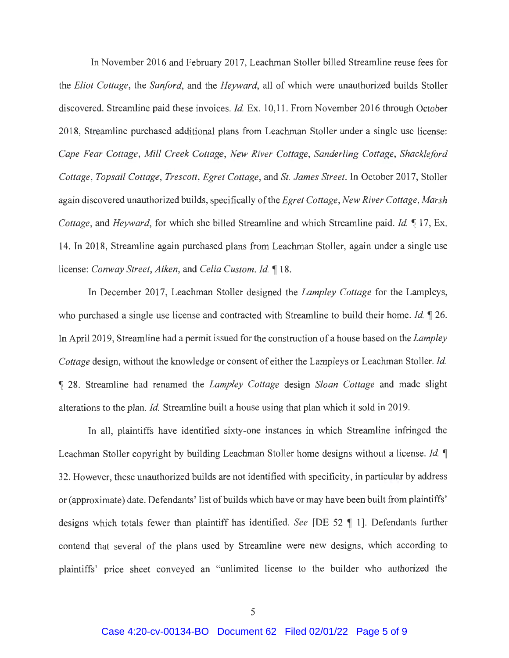In November 2016 and February 2017, Leachman Stoller billed Streamline reuse fees for the *Eliot Cottage ,* the *Sanford,* and the *Heyward,* all of which were unauthorized builds Stoller discovered. Streamline paid these invoices. *Id.* Ex. 10,11. From November 2016 through October 2018, Streamline purchased additional plans from Leachman Stoller under a single use license: *Cape Fear Cottage , Mill Creek Cottage, New River Cottage, Sanderling Cottage, Shackleford Cottage, Topsail Cottage, Trescott, Egret Cottage ,* and *St. James Street.* In October 2017, Stoller again discovered unauthorized builds, specifically of the *Egret Cottage, New River Cottage, Marsh Cottage, and Heyward, for which she billed Streamline and which Streamline paid. <i>Id.* 17, Ex. 14. In 2018, Streamline again purchased plans from Leachman Stoller, again under a single use license: *Conway Street, Aiken, and Celia Custom. Id.* 18.

In December 2017, Leachman Stoller designed the *Lampley Cottage* for the Lampleys, who purchased a single use license and contracted with Streamline to build their home. *Id.* 126. In April 2019, Streamline had a permit issued for the construction of a house based on the *Lampley Cottage* design, without the knowledge or consent of either the Lampleys or Leachman Stoller. *Id.*  **,r** 28. Streamline had renamed the *Lampley Cottage* design *Sloan Cottage* and made slight alterations to the plan. *Id.* Streamline built a house using that plan which it sold in 2019.

In all, plaintiffs have identified sixty-one instances in which Streamline infringed the Leachman Stoller copyright by building Leachman Stoller home designs without a license. *Id.*  $\P$ 32. However, these unauthorized builds are not identified with specificity, in particular by address or (approximate) date. Defendants' list of builds which have or may have been built from plaintiffs' designs which totals fewer than plaintiff has identified. *See* [DE 52  $\parallel$  1]. Defendants further contend that several of the plans used by Streamline were new designs, which according to plaintiffs' price sheet conveyed an "unlimited license to the builder who authorized the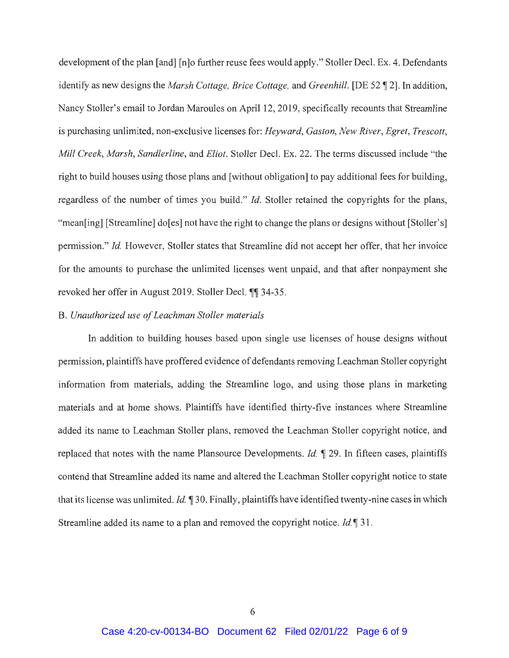development of the plan [and] [n]o further reuse fees would apply." Stoller Deel. Ex. 4. Defendants identify as new designs the *Marsh Cottage, Brice Cottage, and Greenhill.* [DE 52 \imeg=2]. In addition, Nancy Stoller's email to Jordan Maroules on April 12, 2019, specifically recounts that Streamline is purchasing unlimited, non-exclusive licenses for: *Heyward, Gaston, New River, Egret, Trescott, Mill Creek, Marsh, Sandlerline ,* and *Eliot.* Stoller Deel. Ex. 22. The terms discussed include "the right to build houses using those plans and [without obligation] to pay additional fees for building, regardless of the number of times you build." *Id.* Stoller retained the copyrights for the plans, "mean[ing] [Streamline] do[es] not have the right to change the plans or designs without [Stoller's] permission." *Id.* However, Stoller states that Streamline did not accept her offer, that her invoice for the amounts to purchase the unlimited licenses went unpaid, and that after nonpayment she revoked her offer in August 2019. Stoller Decl. ¶ 34-35.

#### B. *Unauthorized use of Leachman Stoller materials*

In addition to building houses based upon single use licenses of house designs without permission, plaintiffs have proffered evidence of defendants removing Leachman Stoller copyright information from materials, adding the Streamline logo, and using those plans in marketing materials and at home shows. Plaintiffs have identified thirty-five instances where Streamline added its name to Leachman Stoller plans, removed the Leachman Stoller copyright notice, and replaced that notes with the name Plansource Developments. *Id.* 1 29. In fifteen cases, plaintiffs contend that Streamline added its name and altered the Leachman Stoller copyright notice to state that its license was unlimited. *Id.* 130. Finally, plaintiffs have identified twenty-nine cases in which Streamline added its name to a plan and removed the copyright notice. *Id.* 1 31.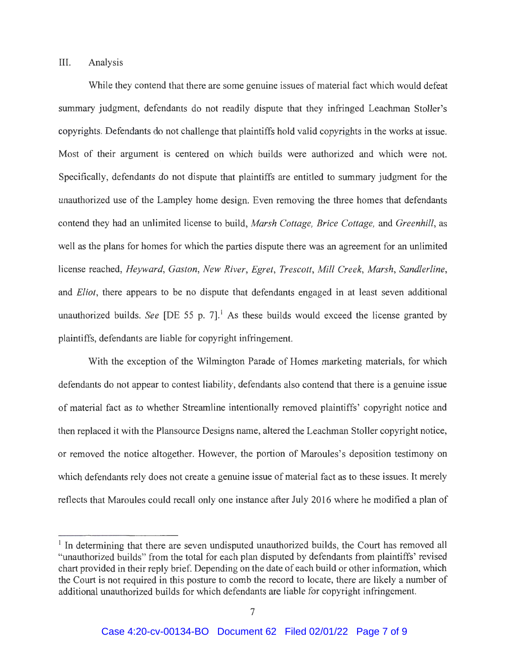## III. Analysis

While they contend that there are some genuine issues of material fact which would defeat summary judgment, defendants do not readily dispute that they infringed Leachman Stoller's copyrights. Defendants do not challenge that plaintiffs hold valid copyrights in the works at issue. Most of their argument is centered on which builds were authorized and which were not. Specifically, defendants do not dispute that plaintiffs are entitled to summary judgment for the unauthorized use of the Lampley home design. Even removing the three homes that defendants contend they had an unlimited license to build, *Marsh Cottage, Brice Cottage,* and *Greenhill,* as well as the plans for homes for which the parties dispute there was an agreement for an unlimited license reached, *Heyward, Gaston, New River, Egret, Trescott, Mill Creek, Marsh, Sandlerline,*  and *Eliot,* there appears to be no dispute that defendants engaged in at least seven additional unauthorized builds. *See* [DE 55 p. 7].<sup>1</sup> As these builds would exceed the license granted by plaintiffs, defendants are liable for copyright infringement.

With the exception of the Wilmington Parade of Homes marketing materials, for which defendants do not appear to contest liability, defendants also contend that there is a genuine issue of material fact as to whether Streamline intentionally removed plaintiffs' copyright notice and then replaced it with the Plansource Designs name, altered the Leachman Stoller copyright notice, or removed the notice altogether. However, the portion of Maroules's deposition testimony on which defendants rely does not create a genuine issue of material fact as to these issues. It merely reflects that Maroules could recall only one instance after July 2016 where he modified a plan of

 $<sup>1</sup>$  In determining that there are seven undisputed unauthorized builds, the Court has removed all</sup> "unauthorized builds" from the total for each plan disputed by defendants from plaintiffs' revised chart provided in their reply brief. Depending on the date of each build or other information, which the Court is not required in this posture to comb the record to locate, there are likely a number of additional unauthorized builds for which defendants are liable for copyright infringement.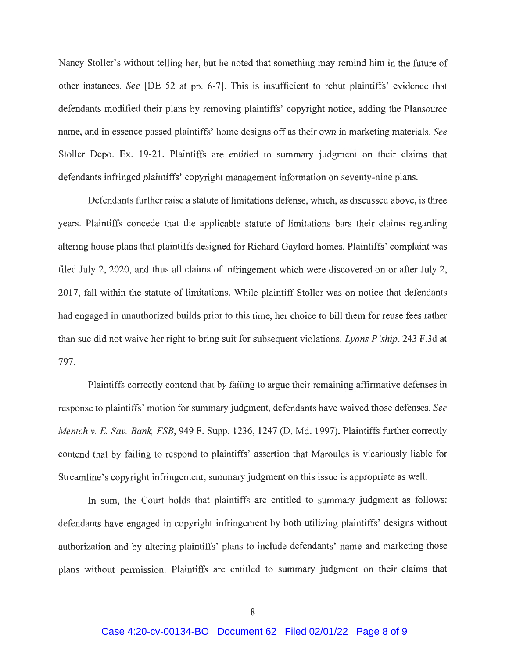Nancy Stoller's without telling her, but he noted that something may remind him in the future of other instances. *See* [DE 52 at pp. 6-7]. This is insufficient to rebut plaintiffs' evidence that defendants modified their plans by removing plaintiffs' copyright notice, adding the Plansource name, and in essence passed plaintiffs' home designs off as their own in marketing materials. *See*  Stoller Depo. Ex. 19-21. Plaintiffs are entitled to summary judgment on their claims that defendants infringed plaintiffs' copyright management information on seventy-nine plans.

Defendants further raise a statute of limitations defense, which, as discussed above, is three years. Plaintiffs concede that the applicable statute of limitations bars their claims regarding altering house plans that plaintiffs designed for Richard Gaylord homes. Plaintiffs' complaint was filed July 2, 2020, and thus all claims of infringement which were discovered on or after July 2, 2017, fall within the statute of limitations. While plaintiff Stoller was on notice that defendants had engaged in unauthorized builds prior to this time, her choice to bill them for reuse fees rather than sue did not waive her right to bring suit for subsequent violations. *Lyons P 'ship,* 243 F.3d at 797.

Plaintiffs correctly contend that by failing to argue their remaining affirmative defenses in response to plaintiffs' motion for summary judgment, defendants have waived those defenses. *See Mentch v.* E. *Sav. Bank, FSB,* 949 F. Supp. 1236, 1247 (D. Md. 1997). Plaintiffs further correctly contend that by failing to respond to plaintiffs' assertion that Maroules is vicariously liable for Streamline's copyright infringement, summary judgment on this issue is appropriate as well.

In sum, the Court holds that plaintiffs are entitled to summary judgment as follows: defendants have engaged in copyright infringement by both utilizing plaintiffs' designs without authorization and by altering plaintiffs' plans to include defendants' name and marketing those plans without permission. Plaintiffs are entitled to summary judgment on their claims that